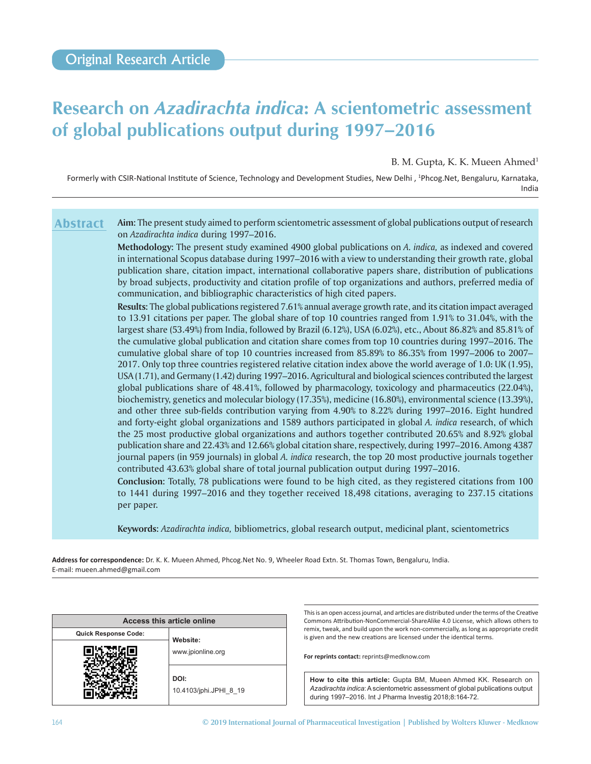# **Research on** *Azadirachta indica***: A scientometric assessment of global publications output during 1997–2016**

B. M. Gupta, K. K. Mueen Ahmed<sup>1</sup>

Formerly with CSIR‑National Institute of Science, Technology and Development Studies, New Delhi , <sup>1</sup> Phcog.Net, Bengaluru, Karnataka, India

**Aim:** The present study aimed to perform scientometric assessment of global publications output of research on *Azadirachta indica* during 1997–2016. **Abstract**

> **Methodology:** The present study examined 4900 global publications on *A. indica,* as indexed and covered in international Scopus database during 1997–2016 with a view to understanding their growth rate, global publication share, citation impact, international collaborative papers share, distribution of publications by broad subjects, productivity and citation profile of top organizations and authors, preferred media of communication, and bibliographic characteristics of high cited papers.

> **Results:** The global publications registered 7.61% annual average growth rate, and its citation impact averaged to 13.91 citations per paper. The global share of top 10 countries ranged from 1.91% to 31.04%, with the largest share (53.49%) from India, followed by Brazil (6.12%), USA (6.02%), etc., About 86.82% and 85.81% of the cumulative global publication and citation share comes from top 10 countries during 1997–2016. The cumulative global share of top 10 countries increased from 85.89% to 86.35% from 1997–2006 to 2007– 2017. Only top three countries registered relative citation index above the world average of 1.0: UK (1.95), USA (1.71), and Germany (1.42) during 1997–2016. Agricultural and biological sciences contributed the largest global publications share of 48.41%, followed by pharmacology, toxicology and pharmaceutics (22.04%), biochemistry, genetics and molecular biology (17.35%), medicine (16.80%), environmental science (13.39%), and other three sub-fields contribution varying from 4.90% to 8.22% during 1997–2016. Eight hundred and forty-eight global organizations and 1589 authors participated in global *A. indica* research, of which the 25 most productive global organizations and authors together contributed 20.65% and 8.92% global publication share and 22.43% and 12.66% global citation share, respectively, during 1997–2016. Among 4387 journal papers (in 959 journals) in global *A. indica* research, the top 20 most productive journals together contributed 43.63% global share of total journal publication output during 1997–2016.

> **Conclusion:** Totally, 78 publications were found to be high cited, as they registered citations from 100 to 1441 during 1997–2016 and they together received 18,498 citations, averaging to 237.15 citations per paper.

**Keywords:** *Azadirachta indica,* bibliometrics, global research output, medicinal plant, scientometrics

**Address for correspondence:** Dr. K. K. Mueen Ahmed, Phcog.Net No. 9, Wheeler Road Extn. St. Thomas Town, Bengaluru, India. E‑mail: mueen.ahmed@gmail.com

| Access this article online  |                                |  |  |  |  |  |  |
|-----------------------------|--------------------------------|--|--|--|--|--|--|
| <b>Quick Response Code:</b> | Website:                       |  |  |  |  |  |  |
|                             | www.jpionline.org              |  |  |  |  |  |  |
|                             | DOI:<br>10.4103/jphi.JPHI 8 19 |  |  |  |  |  |  |

This is an open access journal, and articles are distributed under the terms of the Creative Commons Attribution‑NonCommercial‑ShareAlike 4.0 License, which allows others to remix, tweak, and build upon the work non‑commercially, as long as appropriate credit is given and the new creations are licensed under the identical terms.

**For reprints contact:** reprints@medknow.com

**How to cite this article:** Gupta BM, Mueen Ahmed KK. Research on *Azadirachta indica*: A scientometric assessment of global publications output during 1997–2016. Int J Pharma Investig 2018;8:164-72.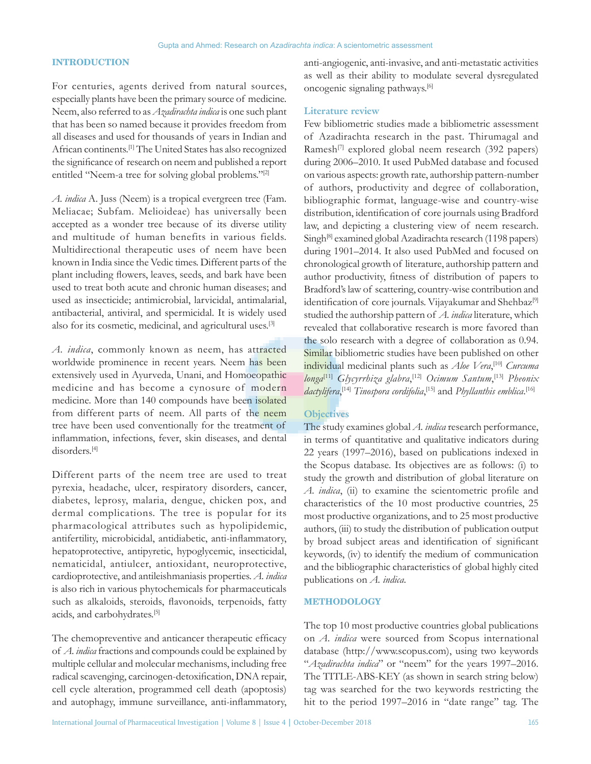# **INTRODUCTION**

For centuries, agents derived from natural sources, especially plants have been the primary source of medicine. Neem, also referred to as *Azadirachta indica* is one such plant that has been so named because it provides freedom from all diseases and used for thousands of years in Indian and African continents.[1] The United States has also recognized the significance of research on neem and published a report entitled "Neem-a tree for solving global problems."[2]

*A. indica* A. Juss (Neem) is a tropical evergreen tree (Fam. Meliacae; Subfam. Melioideae) has universally been accepted as a wonder tree because of its diverse utility and multitude of human benefits in various fields. Multidirectional therapeutic uses of neem have been known in India since the Vedic times. Different parts of the plant including flowers, leaves, seeds, and bark have been used to treat both acute and chronic human diseases; and used as insecticide; antimicrobial, larvicidal, antimalarial, antibacterial, antiviral, and spermicidal. It is widely used also for its cosmetic, medicinal, and agricultural uses.[3]

*A. indica*, commonly known as neem, has attracted worldwide prominence in recent years. Neem has been extensively used in Ayurveda, Unani, and Homoeopathic medicine and has become a cynosure of modern medicine. More than 140 compounds have been isolated from different parts of neem. All parts of the neem tree have been used conventionally for the treatment of inflammation, infections, fever, skin diseases, and dental disorders.[4]

Different parts of the neem tree are used to treat pyrexia, headache, ulcer, respiratory disorders, cancer, diabetes, leprosy, malaria, dengue, chicken pox, and dermal complications. The tree is popular for its pharmacological attributes such as hypolipidemic, antifertility, microbicidal, antidiabetic, anti‑inflammatory, hepatoprotective, antipyretic, hypoglycemic, insecticidal, nematicidal, antiulcer, antioxidant, neuroprotective, cardioprotective, and antileishmaniasis properties. *A. indica* is also rich in various phytochemicals for pharmaceuticals such as alkaloids, steroids, flavonoids, terpenoids, fatty acids, and carbohydrates.[5]

The chemopreventive and anticancer therapeutic efficacy of *A. indica* fractions and compounds could be explained by multiple cellular and molecular mechanisms, including free radical scavenging, carcinogen‑detoxification, DNA repair, cell cycle alteration, programmed cell death (apoptosis) and autophagy, immune surveillance, anti‑inflammatory, anti-angiogenic, anti-invasive, and anti-metastatic activities as well as their ability to modulate several dysregulated oncogenic signaling pathways.[6]

# **Literature review**

Few bibliometric studies made a bibliometric assessment of Azadirachta research in the past. Thirumagal and Ramesh<sup>[7]</sup> explored global neem research (392 papers) during 2006–2010. It used PubMed database and focused on various aspects: growth rate, authorship pattern-number of authors, productivity and degree of collaboration, bibliographic format, language-wise and country-wise distribution, identification of core journals using Bradford law, and depicting a clustering view of neem research. Singh<sup>[8]</sup> examined global Azadirachta research (1198 papers) during 1901–2014. It also used PubMed and focused on chronological growth of literature, authorship pattern and author productivity, fitness of distribution of papers to Bradford's law of scattering, country-wise contribution and identification of core journals. Vijayakumar and Shehbaz<sup>[9]</sup> studied the authorship pattern of *A. indica* literature, which revealed that collaborative research is more favored than the solo research with a degree of collaboration as 0.94. Similar bibliometric studies have been published on other individual medicinal plants such as *Aloe Vera*, [10] *Curcuma longa*[11] *Glycyrrhiza glabra*, [12] *Ocimum Santum*, [13] *Pheonix*  dactylifera,<sup>[14]</sup> Tinospora cordifolia,<sup>[15]</sup> and *Phyllanthis emblica*.<sup>[16]</sup>

# **Objectives**

The study examines global *A. indica* research performance, in terms of quantitative and qualitative indicators during 22 years (1997–2016), based on publications indexed in the Scopus database. Its objectives are as follows: (i) to study the growth and distribution of global literature on *A. indica*, (ii) to examine the scientometric profile and characteristics of the 10 most productive countries, 25 most productive organizations, and to 25 most productive authors, (iii) to study the distribution of publication output by broad subject areas and identification of significant keywords, (iv) to identify the medium of communication and the bibliographic characteristics of global highly cited publications on *A. indica*.

## **METHODOLOGY**

The top 10 most productive countries global publications on *A. indica* were sourced from Scopus international database (http://www.scopus.com), using two keywords "*Azadirachta indica*" or "neem" for the years 1997–2016. The TITLE-ABS-KEY (as shown in search string below) tag was searched for the two keywords restricting the hit to the period 1997–2016 in "date range" tag. The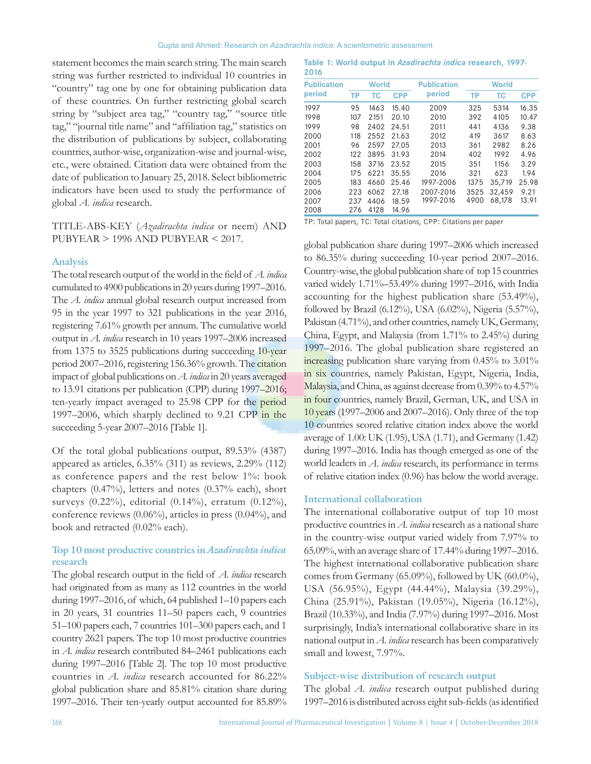statement becomes the main search string. The main search string was further restricted to individual 10 countries in "country" tag one by one for obtaining publication data of these countries. On further restricting global search string by "subject area tag," "country tag," "source title tag," "journal title name" and "affiliation tag," statistics on the distribution of publications by subject, collaborating countries, author-wise, organization-wise and journal-wise, etc., were obtained. Citation data were obtained from the date of publication to January 25, 2018. Select bibliometric indicators have been used to study the performance of global *A. indica* research.

# TITLE-ABS-KEY (*Azadirachta indica* or neem) AND PUBYEAR > 1996 AND PUBYEAR < 2017.

#### **Analysis**

The total research output of the world in the field of *A. indica* cumulated to 4900 publications in 20 years during 1997–2016. The *A. indica* annual global research output increased from 95 in the year 1997 to 321 publications in the year 2016, registering 7.61% growth per annum. The cumulative world output in *A. indica* research in 10 years 1997–2006 increased from 1375 to 3525 publications during succeeding 10-year period 2007–2016, registering 156.36% growth. The citation impact of global publications on *A. indica* in 20 years averaged to 13.91 citations per publication (CPP) during 1997–2016; ten-yearly impact averaged to 25.98 CPP for the period 1997–2006, which sharply declined to 9.21 CPP in the succeeding 5-year 2007–2016 [Table 1].

Of the total global publications output, 89.53% (4387) appeared as articles, 6.35% (311) as reviews, 2.29% (112) as conference papers and the rest below 1%: book chapters (0.47%), letters and notes (0.37% each), short surveys (0.22%), editorial (0.14%), erratum (0.12%), conference reviews (0.06%), articles in press (0.04%), and book and retracted (0.02% each).

# **Top 10 most productive countries in** *Azadirachta indica* **research**

The global research output in the field of *A. indica* research had originated from as many as 112 countries in the world during 1997–2016, of which, 64 published 1–10 papers each in 20 years, 31 countries 11–50 papers each, 9 countries 51–100 papers each, 7 countries 101–300 papers each, and 1 country 2621 papers. The top 10 most productive countries in *A. indica* research contributed 84–2461 publications each during 1997–2016 [Table 2]. The top 10 most productive countries in *A. indica* research accounted for 86.22% global publication share and 85.81% citation share during 1997–2016. Their ten‑yearly output accounted for 85.89%

**Table 1: World output in** *Azadirachta indica* **research, 1997- 2016**

| <b>Publication</b> | <b>World</b> |                  |       | <b>Publication</b> |           | <b>World</b> |            |  |  |
|--------------------|--------------|------------------|-------|--------------------|-----------|--------------|------------|--|--|
| period             | TP           | <b>CPP</b><br>тс |       | period             | <b>TP</b> | TC           | <b>CPP</b> |  |  |
| 1997               | 95           | 1463             | 15.40 | 2009               | 325       | 5314         | 16.35      |  |  |
| 1998               | 107          | 2151             | 20.10 | 2010               | 392       | 4105         | 10.47      |  |  |
| 1999               | 98           | 2402             | 24.51 | 2011               | 441       | 4136         | 9.38       |  |  |
| 2000               | 118          | 2552             | 21.63 | 2012               | 419       | 3617         | 8.63       |  |  |
| 2001               | 96           | 2597             | 27.05 | 2013               | 361       | 2982         | 8.26       |  |  |
| 2002               | 122          | 3895             | 31.93 | 2014               | 402       | 1992         | 4.96       |  |  |
| 2003               | 158          | 3716             | 23.52 | 2015               | 351       | 1156         | 3.29       |  |  |
| 2004               | 175          | 6221             | 35.55 | 2016               | 321       | 623          | 1.94       |  |  |
| 2005               | 183          | 4660             | 25.46 | 1997-2006          | 1375      | 35,719       | 25.98      |  |  |
| 2006               | 223          | 6062             | 27.18 | 2007-2016          | 3525      | 32.459       | 9.21       |  |  |
| 2007               | 237          | 4406             | 18.59 | 1997-2016          | 4900      | 68,178       | 13.91      |  |  |
| 2008               | 276          | 4128             | 14.96 |                    |           |              |            |  |  |

TP: Total papers, TC: Total citations, CPP: Citations per paper

global publication share during 1997–2006 which increased to 86.35% during succeeding 10-year period 2007–2016. Country-wise, the global publication share of top 15 countries varied widely 1.71%–53.49% during 1997–2016, with India accounting for the highest publication share (53.49%), followed by Brazil (6.12%), USA (6.02%), Nigeria (5.57%), Pakistan (4.71%), and other countries, namely UK, Germany, China, Egypt, and Malaysia (from 1.71% to 2.45%) during 1997–2016. The global publication share registered an increasing publication share varying from 0.45% to 3.01% in six countries, namely Pakistan, Egypt, Nigeria, India, Malaysia, and China, as against decrease from 0.39% to 4.57% in four countries, namely Brazil, German, UK, and USA in 10 years (1997–2006 and 2007–2016). Only three of the top 10 countries scored relative citation index above the world average of 1.00: UK (1.95), USA (1.71), and Germany (1.42) during 1997–2016. India has though emerged as one of the world leaders in *A. indica* research, its performance in terms of relative citation index (0.96) has below the world average.

## **International collaboration**

The international collaborative output of top 10 most productive countries in *A. indica* research as a national share in the country-wise output varied widely from 7.97% to 65.09%, with an average share of 17.44% during 1997–2016. The highest international collaborative publication share comes from Germany (65.09%), followed by UK (60.0%), USA (56.95%), Egypt (44.44%), Malaysia (39.29%), China (25.91%), Pakistan (19.05%), Nigeria (16.12%), Brazil (10.33%), and India (7.97%) during 1997–2016. Most surprisingly, India's international collaborative share in its national output in *A. indica* research has been comparatively small and lowest, 7.97%.

#### **Subject‑wise distribution of research output**

The global *A. indica* research output published during 1997–2016 is distributed across eight sub‑fields(as identified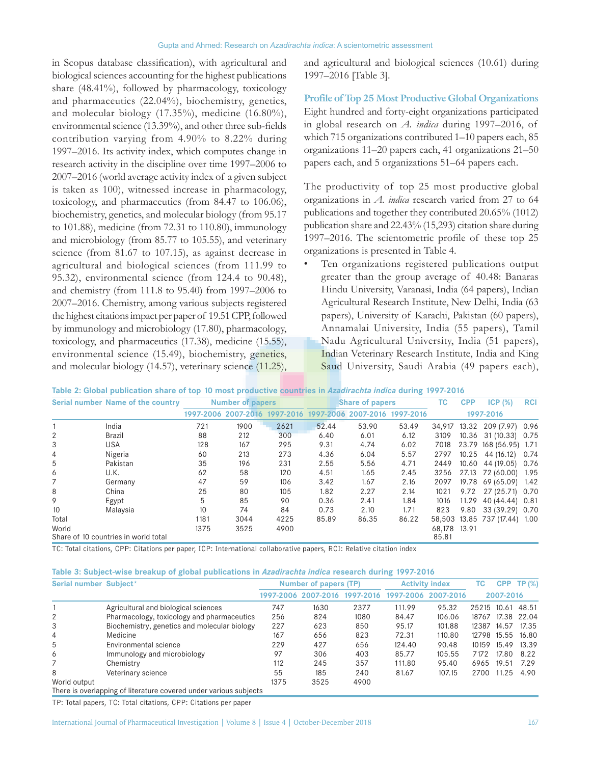in Scopus database classification), with agricultural and biological sciences accounting for the highest publications share (48.41%), followed by pharmacology, toxicology and pharmaceutics (22.04%), biochemistry, genetics, and molecular biology (17.35%), medicine (16.80%), environmental science (13.39%), and other three sub-fields contribution varying from 4.90% to 8.22% during 1997–2016. Its activity index, which computes change in research activity in the discipline over time 1997–2006 to 2007–2016 (world average activity index of a given subject is taken as 100), witnessed increase in pharmacology, toxicology, and pharmaceutics (from 84.47 to 106.06), biochemistry, genetics, and molecular biology (from 95.17 to 101.88), medicine (from 72.31 to 110.80), immunology and microbiology (from 85.77 to 105.55), and veterinary science (from 81.67 to 107.15), as against decrease in agricultural and biological sciences (from 111.99 to 95.32), environmental science (from 124.4 to 90.48), and chemistry (from 111.8 to 95.40) from 1997–2006 to 2007–2016. Chemistry, among various subjects registered the highest citations impact per paper of 19.51 CPP, followed by immunology and microbiology (17.80), pharmacology, toxicology, and pharmaceutics (17.38), medicine (15.55), environmental science (15.49), biochemistry, genetics, and molecular biology (14.57), veterinary science (11.25), and agricultural and biological sciences (10.61) during 1997–2016 [Table 3].

**Profile of Top 25 Most Productive Global Organizations** Eight hundred and forty-eight organizations participated in global research on *A. indica* during 1997–2016, of which 715 organizations contributed 1–10 papers each, 85 organizations 11–20 papers each, 41 organizations 21–50 papers each, and 5 organizations 51–64 papers each.

The productivity of top 25 most productive global organizations in *A. indica* research varied from 27 to 64 publications and together they contributed 20.65% (1012) publication share and 22.43% (15,293) citation share during 1997–2016. The scientometric profile of these top 25 organizations is presented in Table 4.

Ten organizations registered publications output greater than the group average of 40.48: Banaras Hindu University, Varanasi, India (64 papers), Indian Agricultural Research Institute, New Delhi, India (63 papers), University of Karachi, Pakistan (60 papers), Annamalai University, India (55 papers), Tamil Nadu Agricultural University, India (51 papers), Indian Veterinary Research Institute, India and King Saud University, Saudi Arabia (49 papers each),

| Table 2: Global publication share of top 10 most productive countries in Azadirachta indica during 1997-2016 |  |  |  |  |
|--------------------------------------------------------------------------------------------------------------|--|--|--|--|
|--------------------------------------------------------------------------------------------------------------|--|--|--|--|

|       | Serial number Name of the country    |      | <b>Number of papers</b> |      |       | <b>Share of papers</b>                                      |       |        | <b>CPP</b> | ICP(%)                 | <b>RCI</b> |
|-------|--------------------------------------|------|-------------------------|------|-------|-------------------------------------------------------------|-------|--------|------------|------------------------|------------|
|       |                                      |      |                         |      |       | 1997-2006 2007-2016 1997-2016 1997-2006 2007-2016 1997-2016 |       |        |            | 1997-2016              |            |
|       | India                                | 721  | 1900                    | 2621 | 52.44 | 53.90                                                       | 53.49 | 34,917 |            | 13.32 209 (7.97) 0.96  |            |
| 2     | <b>Brazil</b>                        | 88   | 212                     | 300  | 6.40  | 6.01                                                        | 6.12  | 3109   |            | 10.36 31 (10.33) 0.75  |            |
| 3     | USA                                  | 128  | 167                     | 295  | 9.31  | 4.74                                                        | 6.02  | 7018   |            | 23.79 168 (56.95) 1.71 |            |
| 4     | Nigeria                              | 60   | 213                     | 273  | 4.36  | 6.04                                                        | 5.57  | 2797   |            | 10.25 44 (16.12) 0.74  |            |
| 5     | Pakistan                             | 35   | 196                     | 231  | 2.55  | 5.56                                                        | 4.71  | 2449   |            | 10.60 44 (19.05) 0.76  |            |
| 6     | U.K.                                 | 62   | 58                      | 120  | 4.51  | 1.65                                                        | 2.45  | 3256   |            | 27.13 72 (60.00) 1.95  |            |
|       | Germany                              | 47   | 59                      | 106  | 3.42  | 1.67                                                        | 2.16  | 2097   |            | 19.78 69 (65.09) 1.42  |            |
| 8     | China                                | 25   | 80                      | 105  | 1.82  | 2.27                                                        | 2.14  | 1021   |            | 9.72 27 (25.71) 0.70   |            |
| 9     | Egypt                                | 5    | 85                      | 90   | 0.36  | 2.41                                                        | 1.84  | 1016   | 11.29      | 40 (44.44) 0.81        |            |
| 10    | Malaysia                             | 10   | 74                      | 84   | 0.73  | 2.10                                                        | 1.71  | 823    |            | 9.80 33 (39.29) 0.70   |            |
| Total |                                      | 1181 | 3044                    | 4225 | 85.89 | 86.35                                                       | 86.22 | 58.503 |            | 13.85 737 (17.44) 1.00 |            |
| World |                                      | 1375 | 3525                    | 4900 |       |                                                             |       | 68.178 | 13.91      |                        |            |
|       | Share of 10 countries in world total |      |                         |      |       |                                                             |       | 85.81  |            |                        |            |

TC: Total citations, CPP: Citations per paper, ICP: International collaborative papers, RCI: Relative citation index

| Table 3: Subject-wise breakup of global publications in Azadirachta indica research during 1997-2016 |  |  |  |  |  |  |  |  |  |
|------------------------------------------------------------------------------------------------------|--|--|--|--|--|--|--|--|--|
|------------------------------------------------------------------------------------------------------|--|--|--|--|--|--|--|--|--|

| Serial number Subject* |                                                                   |      | Number of papers (TP)         |      |        | <b>Activity index</b> |                   |           | <b>CPP TP (%)</b> |
|------------------------|-------------------------------------------------------------------|------|-------------------------------|------|--------|-----------------------|-------------------|-----------|-------------------|
|                        |                                                                   |      | 1997-2006 2007-2016 1997-2016 |      |        | 1997-2006 2007-2016   |                   | 2007-2016 |                   |
|                        | Agricultural and biological sciences                              | 747  | 1630                          | 2377 | 111.99 | 95.32                 | 25215 10.61 48.51 |           |                   |
| 2                      | Pharmacology, toxicology and pharmaceutics                        | 256  | 824                           | 1080 | 84.47  | 106.06                |                   |           | 18767 17.38 22.04 |
| 3                      | Biochemistry, genetics and molecular biology                      | 227  | 623                           | 850  | 95.17  | 101.88                | 12387             | 14.57     | 17.35             |
| $\overline{4}$         | Medicine                                                          | 167  | 656                           | 823  | 72.31  | 110.80                | 12798             | 15.55     | 16.80             |
| 5                      | Environmental science                                             | 229  | 427                           | 656  | 124.40 | 90.48                 | 10159             | 15.49     | 13.39             |
| 6                      | Immunology and microbiology                                       | 97   | 306                           | 403  | 85.77  | 105.55                | 7172              | 17.80     | 8.22              |
|                        | Chemistry                                                         | 112  | 245                           | 357  | 111.80 | 95.40                 | 6965              | 19.51     | 7.29              |
| 8                      | Veterinary science                                                | 55   | 185                           | 240  | 81.67  | 107.15                | 2700              | 11.25     | 4.90              |
| World output           |                                                                   | 1375 | 3525                          | 4900 |        |                       |                   |           |                   |
|                        | There is overlapping of literature covered under various subjects |      |                               |      |        |                       |                   |           |                   |

TP: Total papers, TC: Total citations, CPP: Citations per paper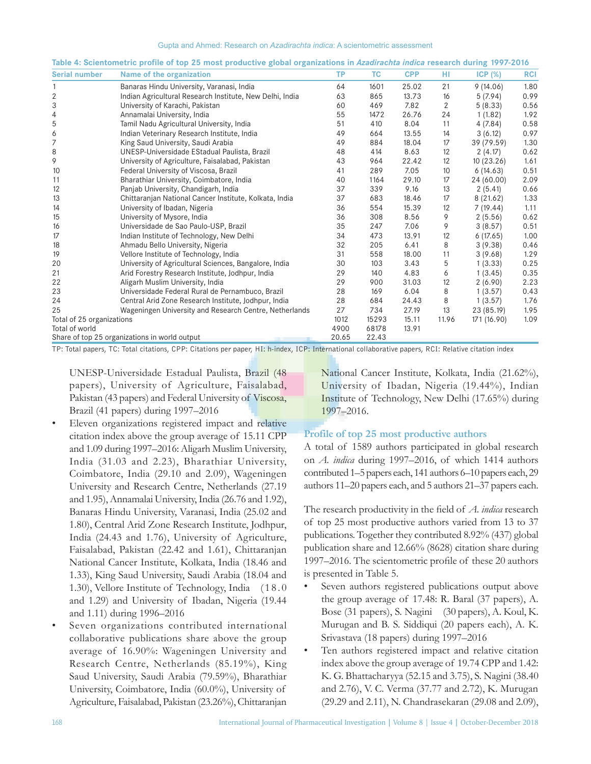| <b>Serial number</b>      | Name of the organization                                 | <b>TP</b> | <b>TC</b> | <b>CPP</b> | HI           | ICP(%)      | <b>RCI</b> |
|---------------------------|----------------------------------------------------------|-----------|-----------|------------|--------------|-------------|------------|
|                           | Banaras Hindu University, Varanasi, India                | 64        | 1601      | 25.02      | 21           | 9(14.06)    | 1.80       |
| 2                         | Indian Agricultural Research Institute, New Delhi, India | 63        | 865       | 13.73      | 16           | 5(7.94)     | 0.99       |
| 3                         | University of Karachi, Pakistan                          | 60        | 469       | 7.82       | $\mathbf{2}$ | 5(8.33)     | 0.56       |
| 4                         | Annamalai University, India                              | 55        | 1472      | 26.76      | 24           | 1(1.82)     | 1.92       |
| 5                         | Tamil Nadu Agricultural University, India                | 51        | 410       | 8.04       | 11           | 4(7.84)     | 0.58       |
| 6                         | Indian Veterinary Research Institute, India              | 49        | 664       | 13.55      | 14           | 3(6.12)     | 0.97       |
| 7                         | King Saud University, Saudi Arabia                       | 49        | 884       | 18.04      | 17           | 39 (79.59)  | 1.30       |
| 8                         | UNESP-Universidade EStadual Paulista, Brazil             | 48        | 414       | 8.63       | 12           | 2(4.17)     | 0.62       |
| 9                         | University of Agriculture, Faisalabad, Pakistan          | 43        | 964       | 22.42      | 12           | 10(23.26)   | 1.61       |
| 10                        | Federal University of Viscosa, Brazil                    | 41        | 289       | 7.05       | 10           | 6(14.63)    | 0.51       |
| 11                        | Bharathiar University, Coimbatore, India                 | 40        | 1164      | 29.10      | 17           | 24 (60.00)  | 2.09       |
| 12                        | Panjab University, Chandigarh, India                     | 37        | 339       | 9.16       | 13           | 2(5.41)     | 0.66       |
| 13                        | Chittaranjan National Cancer Institute, Kolkata, India   | 37        | 683       | 18.46      | 17           | 8(21.62)    | 1.33       |
| 14                        | University of Ibadan, Nigeria                            | 36        | 554       | 15.39      | 12           | 7(19.44)    | 1.11       |
| 15                        | University of Mysore, India                              | 36        | 308       | 8.56       | 9            | 2(5.56)     | 0.62       |
| 16                        | Universidade de Sao Paulo-USP, Brazil                    | 35        | 247       | 7.06       | 9            | 3(8.57)     | 0.51       |
| 17                        | Indian Institute of Technology, New Delhi                | 34        | 473       | 13.91      | 12           | 6(17.65)    | 1.00       |
| 18                        | Ahmadu Bello University, Nigeria                         | 32        | 205       | 6.41       | 8            | 3(9.38)     | 0.46       |
| 19                        | Vellore Institute of Technology, India                   | 31        | 558       | 18.00      | 11           | 3(9.68)     | 1.29       |
| 20                        | University of Agricultural Sciences, Bangalore, India    | 30        | 103       | 3.43       | 5            | 1(3.33)     | 0.25       |
| 21                        | Arid Forestry Research Institute, Jodhpur, India         | 29        | 140       | 4.83       | 6            | 1(3.45)     | 0.35       |
| 22                        | Aligarh Muslim University, India                         | 29        | 900       | 31.03      | 12           | 2(6.90)     | 2.23       |
| 23                        | Universidade Federal Rural de Pernambuco, Brazil         | 28        | 169       | 6.04       | 8            | 1(3.57)     | 0.43       |
| 24                        | Central Arid Zone Research Institute, Jodhpur, India     | 28        | 684       | 24.43      | 8            | 1(3.57)     | 1.76       |
| 25                        | Wageningen University and Research Centre, Netherlands   | 27        | 734       | 27.19      | 13           | 23 (85.19)  | 1.95       |
| Total of 25 organizations |                                                          | 1012      | 15293     | 15.11      | 11.96        | 171 (16.90) | 1.09       |
| Total of world            |                                                          | 4900      | 68178     | 13.91      |              |             |            |
|                           | Share of top 25 organizations in world output            | 20.65     | 22.43     |            |              |             |            |

**Table 4: Scientometric profile of top 25 most productive global organizations in** *Azadirachta indica* **research during 1997-2016**

TP: Total papers, TC: Total citations, CPP: Citations per paper, HI: h-index, ICP: International collaborative papers, RCI: Relative citation index

UNESP-Universidade Estadual Paulista, Brazil (48 papers), University of Agriculture, Faisalabad, Pakistan (43 papers) and Federal University of Viscosa, Brazil (41 papers) during 1997–2016

- Eleven organizations registered impact and relative citation index above the group average of 15.11 CPP and 1.09 during 1997–2016: Aligarh Muslim University, India (31.03 and 2.23), Bharathiar University, Coimbatore, India (29.10 and 2.09), Wageningen University and Research Centre, Netherlands (27.19 and 1.95), Annamalai University, India (26.76 and 1.92), Banaras Hindu University, Varanasi, India (25.02 and 1.80), Central Arid Zone Research Institute, Jodhpur, India (24.43 and 1.76), University of Agriculture, Faisalabad, Pakistan (22.42 and 1.61), Chittaranjan National Cancer Institute, Kolkata, India (18.46 and 1.33), King Saud University, Saudi Arabia (18.04 and 1.30), Vellore Institute of Technology, India ( 1 8 . 0 and 1.29) and University of Ibadan, Nigeria (19.44 and 1.11) during 1996–2016
- Seven organizations contributed international collaborative publications share above the group average of 16.90%: Wageningen University and Research Centre, Netherlands (85.19%), King Saud University, Saudi Arabia (79.59%), Bharathiar University, Coimbatore, India (60.0%), University of Agriculture, Faisalabad, Pakistan (23.26%), Chittaranjan

National Cancer Institute, Kolkata, India (21.62%), University of Ibadan, Nigeria (19.44%), Indian Institute of Technology, New Delhi (17.65%) during 1997–2016.

## **Profile of top 25 most productive authors**

A total of 1589 authors participated in global research on *A. indica* during 1997–2016, of which 1414 authors contributed 1–5 papers each, 141 authors 6–10 papers each, 29 authors 11–20 papers each, and 5 authors 21–37 papers each.

The research productivity in the field of *A. indica* research of top 25 most productive authors varied from 13 to 37 publications. Together they contributed 8.92% (437) global publication share and 12.66% (8628) citation share during 1997–2016. The scientometric profile of these 20 authors is presented in Table 5.

- Seven authors registered publications output above the group average of 17.48: R. Baral (37 papers), A. Bose (31 papers), S. Nagini (30 papers), A. Koul, K. Murugan and B. S. Siddiqui (20 papers each), A. K. Srivastava (18 papers) during 1997–2016
- Ten authors registered impact and relative citation index above the group average of 19.74 CPP and 1.42: K. G. Bhattacharyya (52.15 and 3.75), S. Nagini (38.40 and 2.76), V. C. Verma (37.77 and 2.72), K. Murugan (29.29 and 2.11), N. Chandrasekaran (29.08 and 2.09),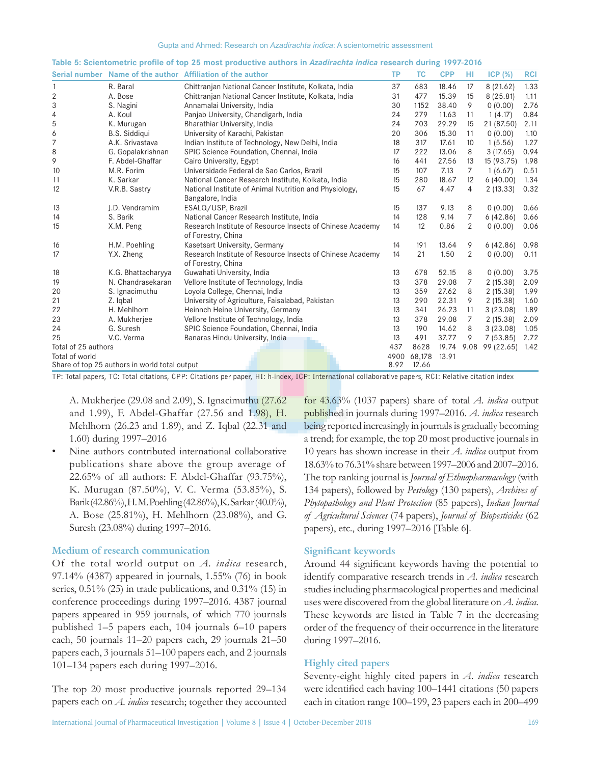|                     |                                               | Table 5: Scientometric prome of top 25 most productive authors in Azaurachta muica research during 1997-2010<br>Serial number Name of the author Affiliation of the author | <b>TP</b> | <b>TC</b> | <b>CPP</b> | HI             | ICP(%)     | <b>RCI</b> |
|---------------------|-----------------------------------------------|----------------------------------------------------------------------------------------------------------------------------------------------------------------------------|-----------|-----------|------------|----------------|------------|------------|
| 1                   | R. Baral                                      | Chittranjan National Cancer Institute, Kolkata, India                                                                                                                      | 37        | 683       | 18.46      | 17             | 8(21.62)   | 1.33       |
| $\overline{2}$      | A. Bose                                       |                                                                                                                                                                            | 31        | 477       | 15.39      | 15             |            | 1.11       |
| 3                   |                                               | Chittranjan National Cancer Institute, Kolkata, India                                                                                                                      |           |           |            |                | 8(25.81)   |            |
|                     | S. Nagini                                     | Annamalai University, India                                                                                                                                                | 30        | 1152      | 38.40      | 9              | 0(0.00)    | 2.76       |
| 4                   | A. Koul                                       | Panjab University, Chandigarh, India                                                                                                                                       | 24        | 279       | 11.63      | 11             | 1(4.17)    | 0.84       |
| 5                   | K. Murugan                                    | Bharathiar University, India                                                                                                                                               | 24        | 703       | 29.29      | 15             | 21 (87.50) | 2.11       |
| 6                   | <b>B.S. Siddiqui</b>                          | University of Karachi, Pakistan                                                                                                                                            | 20        | 306       | 15.30      | 11             | 0(0.00)    | 1.10       |
| 7                   | A.K. Srivastava                               | Indian Institute of Technology, New Delhi, India                                                                                                                           | 18        | 317       | 17.61      | 10             | 1(5.56)    | 1.27       |
| 8                   | G. Gopalakrishnan                             | SPIC Science Foundation, Chennai, India                                                                                                                                    | 17        | 222       | 13.06      | 8              | 3(17.65)   | 0.94       |
| 9                   | F. Abdel-Ghaffar                              | Cairo University, Egypt                                                                                                                                                    | 16        | 441       | 27.56      | 13             | 15 (93.75) | 1.98       |
| 10                  | M.R. Forim                                    | Universidade Federal de Sao Carlos, Brazil                                                                                                                                 | 15        | 107       | 7.13       | 7              | 1(6.67)    | 0.51       |
| 11                  | K. Sarkar                                     | National Cancer Research Institute, Kolkata, India                                                                                                                         | 15        | 280       | 18.67      | 12             | 6(40.00)   | 1.34       |
| 12                  | V.R.B. Sastry                                 | National Institute of Animal Nutrition and Physiology,<br>Bangalore, India                                                                                                 | 15        | 67        | 4.47       | 4              | 2(13.33)   | 0.32       |
| 13                  | I.D. Vendramim                                | ESALQ/USP, Brazil                                                                                                                                                          | 15        | 137       | 9.13       | 8              | 0(0.00)    | 0.66       |
| 14                  | S. Barik                                      | National Cancer Research Institute, India                                                                                                                                  | 14        | 128       | 9.14       | 7              | 6(42.86)   | 0.66       |
| 15                  | X.M. Peng                                     | Research Institute of Resource Insects of Chinese Academy<br>of Forestry, China                                                                                            | 14        | 12        | 0.86       | 2              | 0(0.00)    | 0.06       |
| 16                  | H.M. Poehling                                 | Kasetsart University, Germany                                                                                                                                              | 14        | 191       | 13.64      | 9              | 6(42.86)   | 0.98       |
| 17                  | Y.X. Zheng                                    | Research Institute of Resource Insects of Chinese Academy<br>of Forestry, China                                                                                            | 14        | 21        | 1.50       | $\overline{2}$ | 0(0.00)    | 0.11       |
| 18                  | K.G. Bhattacharyya                            | Guwahati University, India                                                                                                                                                 | 13        | 678       | 52.15      | 8              | 0(0.00)    | 3.75       |
| 19                  | N. Chandrasekaran                             | Vellore Institute of Technology, India                                                                                                                                     | 13        | 378       | 29.08      | 7              | 2(15.38)   | 2.09       |
| 20                  | S. Ignacimuthu                                | Loyola College, Chennai, India                                                                                                                                             | 13        | 359       | 27.62      | 8              | 2(15.38)   | 1.99       |
| 21                  | Z. Iqbal                                      | University of Agriculture, Faisalabad, Pakistan                                                                                                                            | 13        | 290       | 22.31      | 9              | 2(15.38)   | 1.60       |
| 22                  | H. Mehlhorn                                   | Heinnch Heine University, Germany                                                                                                                                          | 13        | 341       | 26.23      | 11             | 3(23.08)   | 1.89       |
| 23                  | A. Mukherjee                                  | Vellore Institute of Technology, India                                                                                                                                     | 13        | 378       | 29.08      | 7              | 2(15.38)   | 2.09       |
| 24                  | G. Suresh                                     | SPIC Science Foundation, Chennai, India                                                                                                                                    | 13        | 190       | 14.62      | 8              | 3(23.08)   | 1.05       |
| 25                  | V.C. Verma                                    | Banaras Hindu University, India                                                                                                                                            | 13        | 491       | 37.77      | 9              | 7(53.85)   | 2.72       |
| Total of 25 authors |                                               |                                                                                                                                                                            | 437       | 8628      | 19.74      | 9.08           | 99 (22.65) | 1.42       |
| Total of world      |                                               |                                                                                                                                                                            | 4900      | 68,178    | 13.91      |                |            |            |
|                     | Share of top 25 authors in world total output |                                                                                                                                                                            | 8.92      | 12.66     |            |                |            |            |

|  | Table 5: Scientometric profile of top 25 most productive authors in <i>Azadirachta indica</i> research during 1997-2016 |  |  |
|--|-------------------------------------------------------------------------------------------------------------------------|--|--|
|  |                                                                                                                         |  |  |

TP: Total papers, TC: Total citations, CPP: Citations per paper, HI: h‑index, ICP: International collaborative papers, RCI: Relative citation index

A. Mukherjee (29.08 and 2.09), S. Ignacimuthu (27.62 and 1.99), F. Abdel-Ghaffar (27.56 and 1.98), H. Mehlhorn (26.23 and 1.89), and Z. Iqbal (22.31 and 1.60) during 1997–2016

Nine authors contributed international collaborative publications share above the group average of 22.65% of all authors: F. Abdel-Ghaffar (93.75%), K. Murugan (87.50%), V. C. Verma (53.85%), S. Barik(42.86%), H. M. Poehling(42.86%), K. Sarkar(40.0%), A. Bose (25.81%), H. Mehlhorn (23.08%), and G. Suresh (23.08%) during 1997–2016.

# **Medium of research communication**

Of the total world output on *A. indica* research, 97.14% (4387) appeared in journals, 1.55% (76) in book series, 0.51% (25) in trade publications, and 0.31% (15) in conference proceedings during 1997–2016. 4387 journal papers appeared in 959 journals, of which 770 journals published 1–5 papers each, 104 journals 6–10 papers each, 50 journals 11–20 papers each, 29 journals 21–50 papers each, 3 journals 51–100 papers each, and 2 journals 101–134 papers each during 1997–2016.

The top 20 most productive journals reported 29–134 papers each on *A. indica* research; together they accounted

for 43.63% (1037 papers) share of total *A. indica* output published in journals during 1997–2016. *A. indica* research being reported increasingly in journals is gradually becoming a trend; for example, the top 20 most productive journals in 10 years has shown increase in their *A. indica* output from 18.63% to 76.31% share between 1997–2006 and 2007–2016. The top ranking journal is *Journal of Ethnopharmacology* (with 134 papers), followed by *Pestology* (130 papers), *Archives of Phytopathology and Plant Protection* (85 papers), *Indian Journal of Agricultural Sciences* (74 papers), *Journal of Biopesticides* (62 papers), etc., during 1997–2016 [Table 6].

# **Significant keywords**

Around 44 significant keywords having the potential to identify comparative research trends in *A. indica* research studies including pharmacological properties and medicinal uses were discovered from the global literature on *A. indica*. These keywords are listed in Table 7 in the decreasing order of the frequency of their occurrence in the literature during 1997–2016.

## **Highly cited papers**

Seventy-eight highly cited papers in *A. indica* research were identified each having 100–1441 citations (50 papers each in citation range 100–199, 23 papers each in 200–499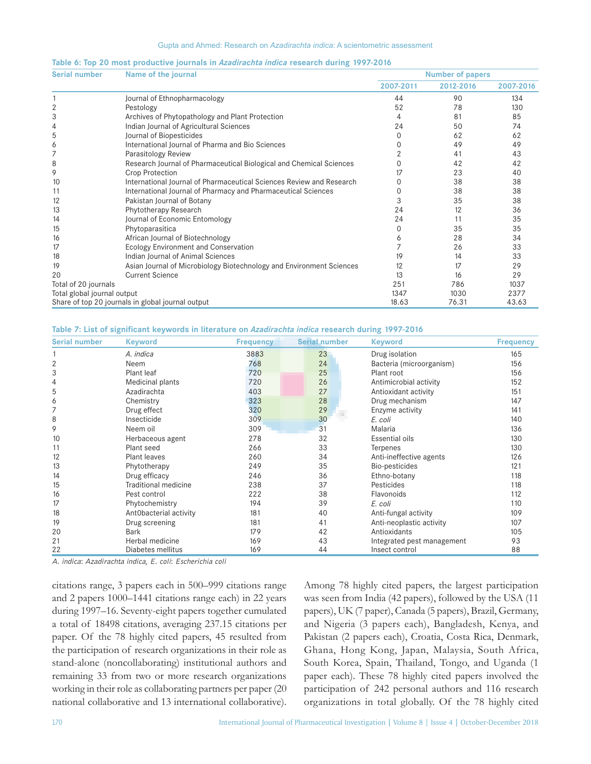| Table 6: Top 20 most productive journals in Azadirachta indica research during 1997-2016 |  |  |  |  |  |
|------------------------------------------------------------------------------------------|--|--|--|--|--|
|------------------------------------------------------------------------------------------|--|--|--|--|--|

| <b>Serial number</b>        | Name of the journal                                                  | <b>Number of papers</b> |           |           |  |  |
|-----------------------------|----------------------------------------------------------------------|-------------------------|-----------|-----------|--|--|
|                             |                                                                      | 2007-2011               | 2012-2016 | 2007-2016 |  |  |
|                             | Journal of Ethnopharmacology                                         | 44                      | 90        | 134       |  |  |
| 2                           | Pestology                                                            | 52                      | 78        | 130       |  |  |
| 3                           | Archives of Phytopathology and Plant Protection                      | 4                       | 81        | 85        |  |  |
| 4                           | Indian Journal of Agricultural Sciences                              | 24                      | 50        | 74        |  |  |
| 5                           | Journal of Biopesticides                                             | 0                       | 62        | 62        |  |  |
| 6                           | International Journal of Pharma and Bio Sciences                     | 0                       | 49        | 49        |  |  |
| 7                           | Parasitology Review                                                  |                         | 41        | 43        |  |  |
| 8                           | Research Journal of Pharmaceutical Biological and Chemical Sciences  |                         | 42        | 42        |  |  |
| 9                           | Crop Protection                                                      | 17                      | 23        | 40        |  |  |
| 10                          | International Journal of Pharmaceutical Sciences Review and Research | 0                       | 38        | 38        |  |  |
| 11                          | International Journal of Pharmacy and Pharmaceutical Sciences        | $\Omega$                | 38        | 38        |  |  |
| 12                          | Pakistan Journal of Botany                                           | 3                       | 35        | 38        |  |  |
| 13                          | Phytotherapy Research                                                | 24                      | 12        | 36        |  |  |
| 14                          | Journal of Economic Entomology                                       | 24                      | 11        | 35        |  |  |
| 15                          | Phytoparasitica                                                      | $\Omega$                | 35        | 35        |  |  |
| 16                          | African Journal of Biotechnology                                     | 6                       | 28        | 34        |  |  |
| 17                          | <b>Ecology Environment and Conservation</b>                          |                         | 26        | 33        |  |  |
| 18                          | Indian Journal of Animal Sciences                                    | 19                      | 14        | 33        |  |  |
| 19                          | Asian Journal of Microbiology Biotechnology and Environment Sciences | 12                      | 17        | 29        |  |  |
| 20                          | <b>Current Science</b>                                               | 13                      | 16        | 29        |  |  |
| Total of 20 journals        |                                                                      | 251                     | 786       | 1037      |  |  |
| Total global journal output |                                                                      | 1347                    | 1030      | 2377      |  |  |
|                             | Share of top 20 journals in global journal output                    | 18.63                   | 76.31     | 43.63     |  |  |

**Table 7: List of significant keywords in literature on** *Azadirachta indica* **research during 1997-2016**

| <b>Serial number</b> | <b>Keyword</b>         | <b>Frequency</b> | Serial number | <b>Keyword</b>             | <b>Frequency</b> |
|----------------------|------------------------|------------------|---------------|----------------------------|------------------|
|                      | A. indica              | 3883             | 23            | Drug isolation             | 165              |
| 2                    | Neem                   | 768              | 24            | Bacteria (microorganism)   | 156              |
| 3                    | Plant leaf             | 720              | 25            | Plant root                 | 156              |
| 4                    | Medicinal plants       | 720              | 26            | Antimicrobial activity     | 152              |
| 5                    | Azadirachta            | 403              | 27            | Antioxidant activity       | 151              |
| 6                    | Chemistry              | 323              | 28            | Drug mechanism             | 147              |
| 7                    | Drug effect            | 320              | 29            | Enzyme activity            | 141              |
| 8                    | Insecticide            | 309              | 30            | E. coli                    | 140              |
| 9                    | Neem oil               | 309              | 31            | Malaria                    | 136              |
| 10                   | Herbaceous agent       | 278              | 32            | Essential oils             | 130              |
| 11                   | Plant seed             | 266              | 33            | Terpenes                   | 130              |
| 12                   | Plant leaves           | 260              | 34            | Anti-ineffective agents    | 126              |
| 13                   | Phytotherapy           | 249              | 35            | Bio-pesticides             | 121              |
| 14                   | Drug efficacy          | 246              | 36            | Ethno-botany               | 118              |
| 15                   | Traditional medicine   | 238              | 37            | Pesticides                 | 118              |
| 16                   | Pest control           | 222              | 38            | Flavonoids                 | 112              |
| 17                   | Phytochemistry         | 194              | 39            | E. coli                    | 110              |
| 18                   | AntObacterial activity | 181              | 40            | Anti-fungal activity       | 109              |
| 19                   | Drug screening         | 181              | 41            | Anti-neoplastic activity   | 107              |
| 20                   | <b>Bark</b>            | 179              | 42            | Antioxidants               | 105              |
| 21                   | Herbal medicine        | 169              | 43            | Integrated pest management | 93               |
| 22                   | Diabetes mellitus      | 169              | 44            | Insect control             | 88               |

*A. indica*: *Azadirachta indica*, *E. coli*: *Escherichia coli*

citations range, 3 papers each in 500–999 citations range and 2 papers 1000–1441 citations range each) in 22 years during 1997–16. Seventy‑eight papers together cumulated a total of 18498 citations, averaging 237.15 citations per paper. Of the 78 highly cited papers, 45 resulted from the participation of research organizations in their role as stand-alone (noncollaborating) institutional authors and remaining 33 from two or more research organizations working in their role as collaborating partners per paper (20 national collaborative and 13 international collaborative). Among 78 highly cited papers, the largest participation was seen from India (42 papers), followed by the USA (11 papers), UK (7 paper), Canada (5 papers), Brazil, Germany, and Nigeria (3 papers each), Bangladesh, Kenya, and Pakistan (2 papers each), Croatia, Costa Rica, Denmark, Ghana, Hong Kong, Japan, Malaysia, South Africa, South Korea, Spain, Thailand, Tongo, and Uganda (1 paper each). These 78 highly cited papers involved the participation of 242 personal authors and 116 research organizations in total globally. Of the 78 highly cited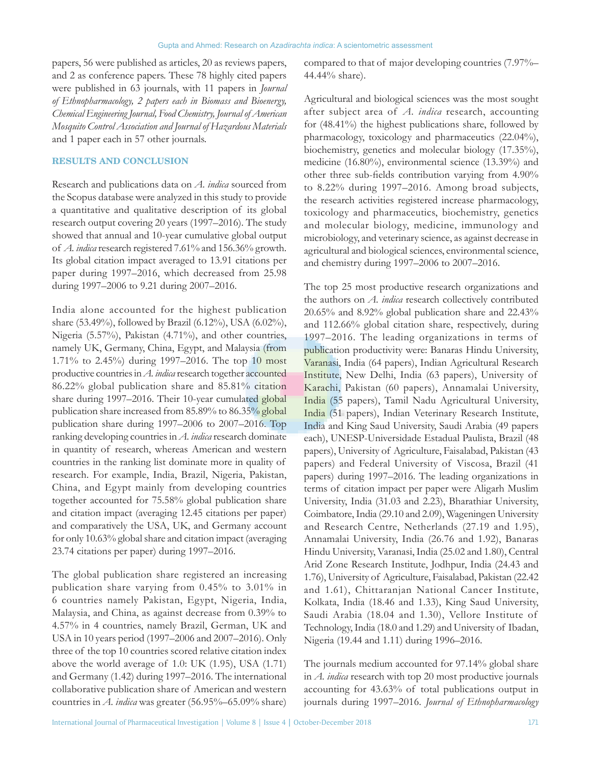papers, 56 were published as articles, 20 as reviews papers, and 2 as conference papers. These 78 highly cited papers were published in 63 journals, with 11 papers in *Journal of Ethnopharmacology, 2 papers each in Biomass and Bioenergy, Chemical Engineering Journal, Food Chemistry, Journalof American Mosquito Control Association and Journal of Hazardous Materials* and 1 paper each in 57 other journals.

# **RESULTS AND CONCLUSION**

Research and publications data on *A. indica* sourced from the Scopus database were analyzed in this study to provide a quantitative and qualitative description of its global research output covering 20 years (1997–2016). The study showed that annual and 10-year cumulative global output of *A. indica* research registered 7.61% and 156.36% growth. Its global citation impact averaged to 13.91 citations per paper during 1997–2016, which decreased from 25.98 during 1997–2006 to 9.21 during 2007–2016.

India alone accounted for the highest publication share (53.49%), followed by Brazil (6.12%), USA (6.02%), Nigeria (5.57%), Pakistan (4.71%), and other countries, namely UK, Germany, China, Egypt, and Malaysia (from 1.71% to 2.45%) during 1997–2016. The top 10 most productive countries in *A. indica* research together accounted 86.22% global publication share and 85.81% citation share during 1997–2016. Their 10-year cumulated global publication share increased from 85.89% to 86.35% global publication share during 1997–2006 to 2007–2016. Top ranking developing countries in *A. indica* research dominate in quantity of research, whereas American and western countries in the ranking list dominate more in quality of research. For example, India, Brazil, Nigeria, Pakistan, China, and Egypt mainly from developing countries together accounted for 75.58% global publication share and citation impact (averaging 12.45 citations per paper) and comparatively the USA, UK, and Germany account for only 10.63% global share and citation impact (averaging 23.74 citations per paper) during 1997–2016.

The global publication share registered an increasing publication share varying from 0.45% to 3.01% in 6 countries namely Pakistan, Egypt, Nigeria, India, Malaysia, and China, as against decrease from 0.39% to 4.57% in 4 countries, namely Brazil, German, UK and USA in 10 years period (1997–2006 and 2007–2016). Only three of the top 10 countries scored relative citation index above the world average of 1.0: UK (1.95), USA (1.71) and Germany (1.42) during 1997–2016. The international collaborative publication share of American and western countries in *A. indica* was greater (56.95%–65.09% share) compared to that of major developing countries (7.97%– 44.44% share).

Agricultural and biological sciences was the most sought after subject area of *A. indica* research, accounting for (48.41%) the highest publications share, followed by pharmacology, toxicology and pharmaceutics (22.04%), biochemistry, genetics and molecular biology (17.35%), medicine (16.80%), environmental science (13.39%) and other three sub-fields contribution varying from 4.90% to 8.22% during 1997–2016. Among broad subjects, the research activities registered increase pharmacology, toxicology and pharmaceutics, biochemistry, genetics and molecular biology, medicine, immunology and microbiology, and veterinary science, as against decrease in agricultural and biological sciences, environmental science, and chemistry during 1997–2006 to 2007–2016.

The top 25 most productive research organizations and the authors on *A. indica* research collectively contributed 20.65% and 8.92% global publication share and 22.43% and 112.66% global citation share, respectively, during 1997–2016. The leading organizations in terms of publication productivity were: Banaras Hindu University, Varanasi, India (64 papers), Indian Agricultural Research Institute, New Delhi, India (63 papers), University of Karachi, Pakistan (60 papers), Annamalai University, India (55 papers), Tamil Nadu Agricultural University, India (51 papers), Indian Veterinary Research Institute, India and King Saud University, Saudi Arabia (49 papers each), UNESP-Universidade Estadual Paulista, Brazil (48 papers), University of Agriculture, Faisalabad, Pakistan (43 papers) and Federal University of Viscosa, Brazil (41 papers) during 1997–2016. The leading organizations in terms of citation impact per paper were Aligarh Muslim University, India (31.03 and 2.23), Bharathiar University, Coimbatore, India (29.10 and 2.09), Wageningen University and Research Centre, Netherlands (27.19 and 1.95), Annamalai University, India (26.76 and 1.92), Banaras Hindu University, Varanasi, India (25.02 and 1.80), Central Arid Zone Research Institute, Jodhpur, India (24.43 and 1.76), University of Agriculture, Faisalabad, Pakistan (22.42 and 1.61), Chittaranjan National Cancer Institute, Kolkata, India (18.46 and 1.33), King Saud University, Saudi Arabia (18.04 and 1.30), Vellore Institute of Technology, India (18.0 and 1.29) and University of Ibadan, Nigeria (19.44 and 1.11) during 1996–2016.

The journals medium accounted for 97.14% global share in *A. indica* research with top 20 most productive journals accounting for 43.63% of total publications output in journals during 1997–2016. *Journal of Ethnopharmacology*